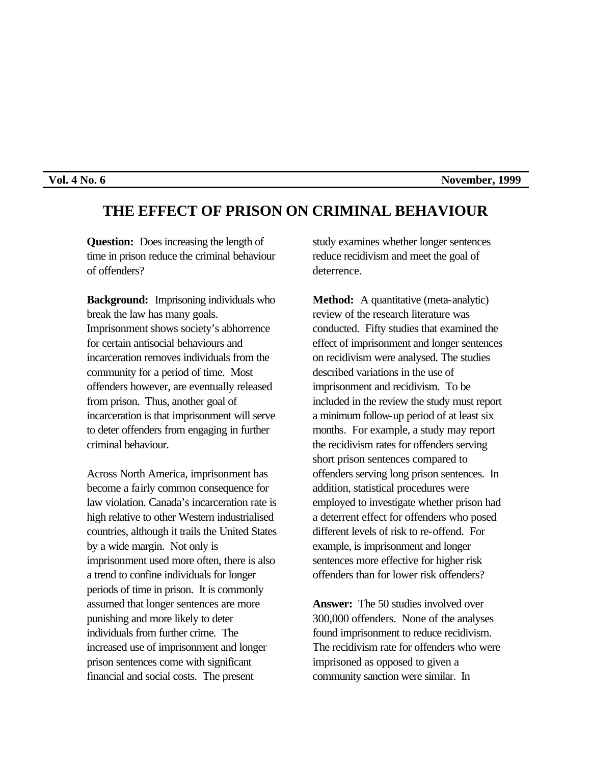## **Vol. 4 No. 6** November, 1999

## **THE EFFECT OF PRISON ON CRIMINAL BEHAVIOUR**

**Question:** Does increasing the length of time in prison reduce the criminal behaviour of offenders?

**Background:** Imprisoning individuals who break the law has many goals. Imprisonment shows society's abhorrence for certain antisocial behaviours and incarceration removes individuals from the community for a period of time. Most offenders however, are eventually released from prison. Thus, another goal of incarceration is that imprisonment will serve to deter offenders from engaging in further criminal behaviour.

Across North America, imprisonment has become a fairly common consequence for law violation. Canada's incarceration rate is high relative to other Western industrialised countries, although it trails the United States by a wide margin. Not only is imprisonment used more often, there is also a trend to confine individuals for longer periods of time in prison. It is commonly assumed that longer sentences are more punishing and more likely to deter individuals from further crime. The increased use of imprisonment and longer prison sentences come with significant financial and social costs. The present

study examines whether longer sentences reduce recidivism and meet the goal of deterrence.

**Method:** A quantitative (meta-analytic) review of the research literature was conducted. Fifty studies that examined the effect of imprisonment and longer sentences on recidivism were analysed. The studies described variations in the use of imprisonment and recidivism. To be included in the review the study must report a minimum follow-up period of at least six months. For example, a study may report the recidivism rates for offenders serving short prison sentences compared to offenders serving long prison sentences. In addition, statistical procedures were employed to investigate whether prison had a deterrent effect for offenders who posed different levels of risk to re-offend. For example, is imprisonment and longer sentences more effective for higher risk offenders than for lower risk offenders?

**Answer:** The 50 studies involved over 300,000 offenders. None of the analyses found imprisonment to reduce recidivism. The recidivism rate for offenders who were imprisoned as opposed to given a community sanction were similar. In